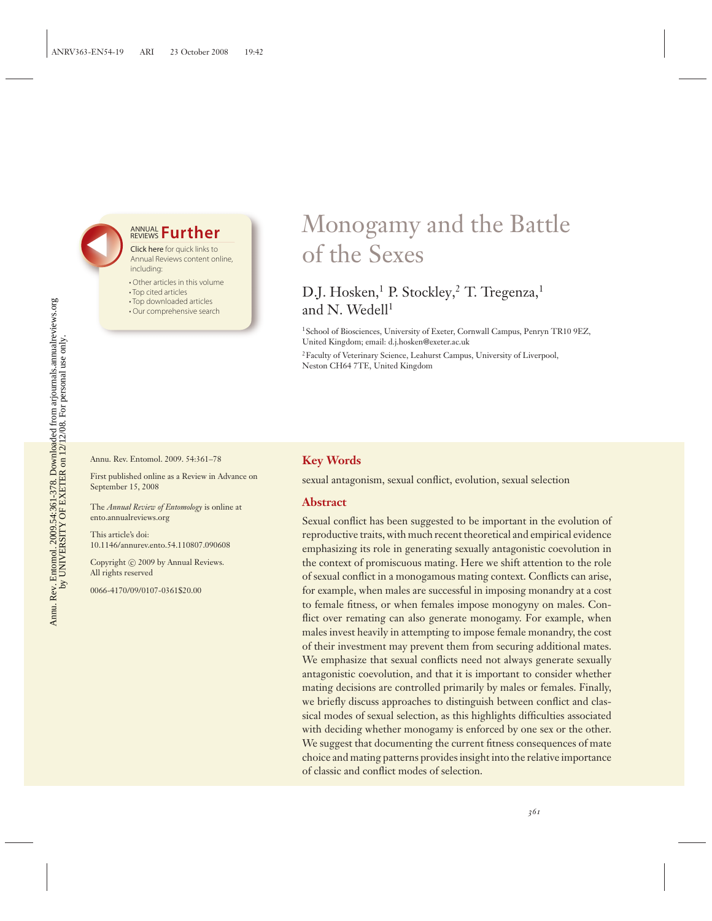# **ANNUAL Further**

Click here for quick links to Annual Reviews content online, including:

- Other articles in this volume
- Top cited articles
- Top downloaded articles
- Our comprehensive search

# Monogamy and the Battle of the Sexes

# D.J. Hosken,<sup>1</sup> P. Stockley,<sup>2</sup> T. Tregenza,<sup>1</sup> and N. Wedell<sup>1</sup>

<sup>1</sup>School of Biosciences, University of Exeter, Cornwall Campus, Penryn TR10 9EZ, United Kingdom; email: d.j.hosken@exeter.ac.uk

2Faculty of Veterinary Science, Leahurst Campus, University of Liverpool, Neston CH64 7TE, United Kingdom

Annu. Rev. Entomol. 2009. 54:361–78

First published online as a Review in Advance on September 15, 2008

The *Annual Review of Entomology* is online at ento.annualreviews.org

This article's doi: 10.1146/annurev.ento.54.110807.090608

Copyright © 2009 by Annual Reviews. All rights reserved

0066-4170/09/0107-0361\$20.00

#### **Key Words**

sexual antagonism, sexual conflict, evolution, sexual selection

#### **Abstract**

Sexual conflict has been suggested to be important in the evolution of reproductive traits, with much recent theoretical and empirical evidence emphasizing its role in generating sexually antagonistic coevolution in the context of promiscuous mating. Here we shift attention to the role of sexual conflict in a monogamous mating context. Conflicts can arise, for example, when males are successful in imposing monandry at a cost to female fitness, or when females impose monogyny on males. Conflict over remating can also generate monogamy. For example, when males invest heavily in attempting to impose female monandry, the cost of their investment may prevent them from securing additional mates. We emphasize that sexual conflicts need not always generate sexually antagonistic coevolution, and that it is important to consider whether mating decisions are controlled primarily by males or females. Finally, we briefly discuss approaches to distinguish between conflict and classical modes of sexual selection, as this highlights difficulties associated with deciding whether monogamy is enforced by one sex or the other. We suggest that documenting the current fitness consequences of mate choice and mating patterns provides insight into the relative importance of classic and conflict modes of selection.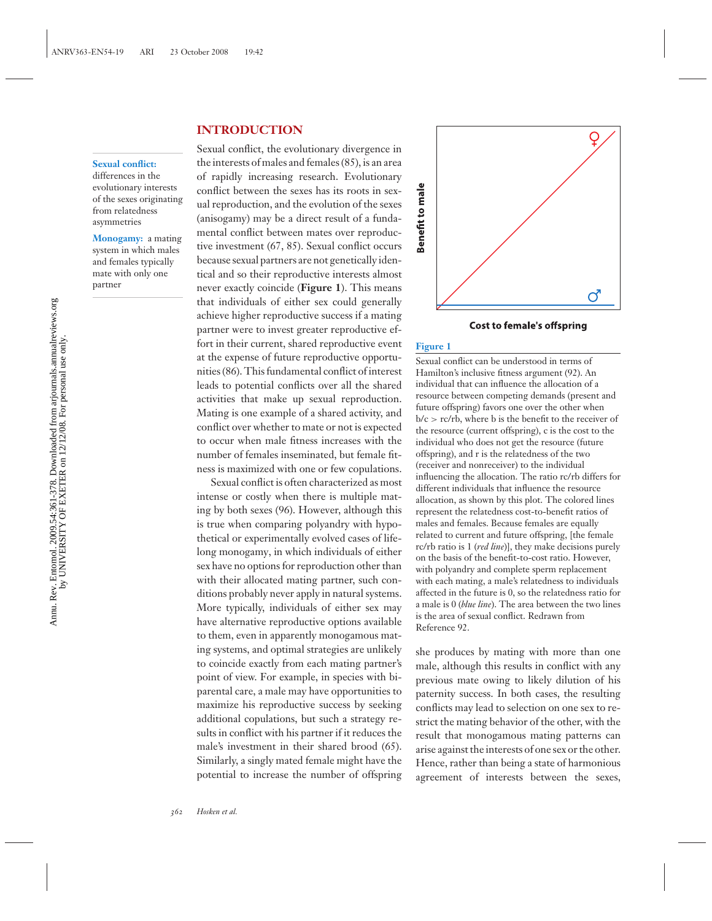#### **INTRODUCTION**

#### **Sexual conflict:**

differences in the evolutionary interests of the sexes originating from relatedness asymmetries

**Monogamy:** a mating system in which males and females typically mate with only one partner

Sexual conflict, the evolutionary divergence in the interests of males and females (85), is an area of rapidly increasing research. Evolutionary conflict between the sexes has its roots in sexual reproduction, and the evolution of the sexes (anisogamy) may be a direct result of a fundamental conflict between mates over reproductive investment (67, 85). Sexual conflict occurs because sexual partners are not genetically identical and so their reproductive interests almost never exactly coincide (**Figure 1**). This means that individuals of either sex could generally achieve higher reproductive success if a mating partner were to invest greater reproductive effort in their current, shared reproductive event at the expense of future reproductive opportunities (86). This fundamental conflict of interest leads to potential conflicts over all the shared activities that make up sexual reproduction. Mating is one example of a shared activity, and conflict over whether to mate or not is expected to occur when male fitness increases with the number of females inseminated, but female fitness is maximized with one or few copulations.

Sexual conflict is often characterized as most intense or costly when there is multiple mating by both sexes (96). However, although this is true when comparing polyandry with hypothetical or experimentally evolved cases of lifelong monogamy, in which individuals of either sex have no options for reproduction other than with their allocated mating partner, such conditions probably never apply in natural systems. More typically, individuals of either sex may have alternative reproductive options available to them, even in apparently monogamous mating systems, and optimal strategies are unlikely to coincide exactly from each mating partner's point of view. For example, in species with biparental care, a male may have opportunities to maximize his reproductive success by seeking additional copulations, but such a strategy results in conflict with his partner if it reduces the male's investment in their shared brood (65). Similarly, a singly mated female might have the potential to increase the number of offspring



#### **Cost to female's offspring**

#### **Figure 1**

Sexual conflict can be understood in terms of Hamilton's inclusive fitness argument (92). An individual that can influence the allocation of a resource between competing demands (present and future offspring) favors one over the other when  $b/c > rc/rb$ , where b is the benefit to the receiver of the resource (current offspring), c is the cost to the individual who does not get the resource (future offspring), and r is the relatedness of the two (receiver and nonreceiver) to the individual influencing the allocation. The ratio rc/rb differs for different individuals that influence the resource allocation, as shown by this plot. The colored lines represent the relatedness cost-to-benefit ratios of males and females. Because females are equally related to current and future offspring, [the female rc/rb ratio is 1 (*red line*)], they make decisions purely on the basis of the benefit-to-cost ratio. However, with polyandry and complete sperm replacement with each mating, a male's relatedness to individuals affected in the future is 0, so the relatedness ratio for a male is 0 (*blue line*). The area between the two lines is the area of sexual conflict. Redrawn from Reference 92.

she produces by mating with more than one male, although this results in conflict with any previous mate owing to likely dilution of his paternity success. In both cases, the resulting conflicts may lead to selection on one sex to restrict the mating behavior of the other, with the result that monogamous mating patterns can arise against the interests of one sex or the other. Hence, rather than being a state of harmonious agreement of interests between the sexes,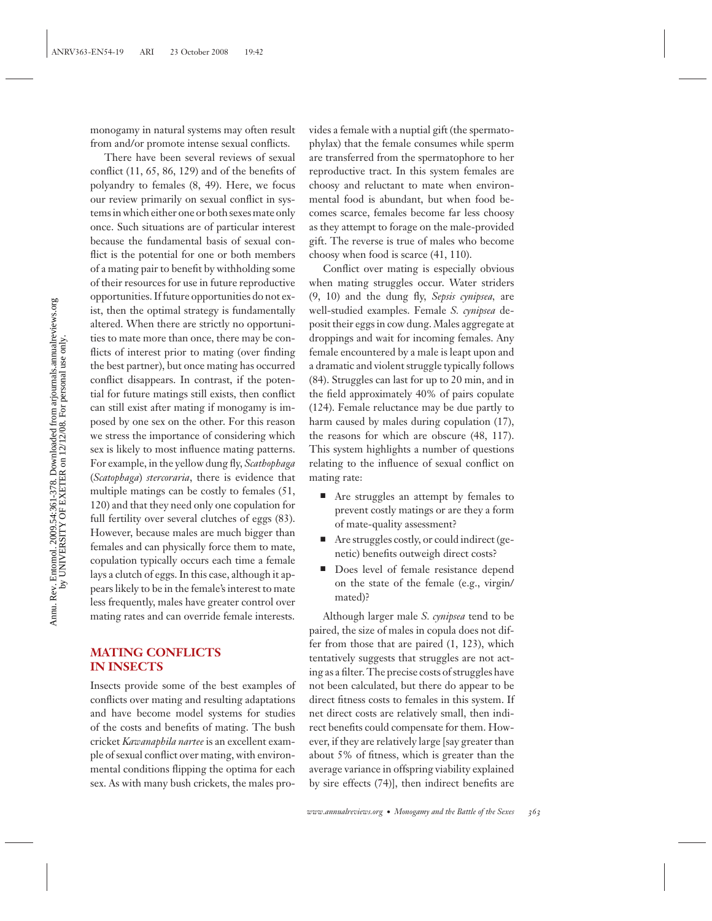monogamy in natural systems may often result from and/or promote intense sexual conflicts.

There have been several reviews of sexual conflict (11, 65, 86, 129) and of the benefits of polyandry to females (8, 49). Here, we focus our review primarily on sexual conflict in systems in which either one or both sexes mate only once. Such situations are of particular interest because the fundamental basis of sexual conflict is the potential for one or both members of a mating pair to benefit by withholding some of their resources for use in future reproductive opportunities. If future opportunities do not exist, then the optimal strategy is fundamentally altered. When there are strictly no opportunities to mate more than once, there may be conflicts of interest prior to mating (over finding the best partner), but once mating has occurred conflict disappears. In contrast, if the potential for future matings still exists, then conflict can still exist after mating if monogamy is imposed by one sex on the other. For this reason we stress the importance of considering which sex is likely to most influence mating patterns. For example, in the yellow dung fly, *Scathophaga* (*Scatophaga*) *stercoraria*, there is evidence that multiple matings can be costly to females (51, 120) and that they need only one copulation for full fertility over several clutches of eggs (83). However, because males are much bigger than females and can physically force them to mate, copulation typically occurs each time a female lays a clutch of eggs. In this case, although it appears likely to be in the female's interest to mate less frequently, males have greater control over mating rates and can override female interests.

## **MATING CONFLICTS IN INSECTS**

Insects provide some of the best examples of conflicts over mating and resulting adaptations and have become model systems for studies of the costs and benefits of mating. The bush cricket *Kawanaphila nartee* is an excellent example of sexual conflict over mating, with environmental conditions flipping the optima for each sex. As with many bush crickets, the males provides a female with a nuptial gift (the spermatophylax) that the female consumes while sperm are transferred from the spermatophore to her reproductive tract. In this system females are choosy and reluctant to mate when environmental food is abundant, but when food becomes scarce, females become far less choosy as they attempt to forage on the male-provided gift. The reverse is true of males who become choosy when food is scarce (41, 110).

Conflict over mating is especially obvious when mating struggles occur. Water striders (9, 10) and the dung fly, *Sepsis cynipsea,* are well-studied examples. Female *S. cynipsea* deposit their eggs in cow dung. Males aggregate at droppings and wait for incoming females. Any female encountered by a male is leapt upon and a dramatic and violent struggle typically follows (84). Struggles can last for up to 20 min, and in the field approximately 40% of pairs copulate (124). Female reluctance may be due partly to harm caused by males during copulation  $(17)$ , the reasons for which are obscure (48, 117). This system highlights a number of questions relating to the influence of sexual conflict on mating rate:

- Are struggles an attempt by females to prevent costly matings or are they a form of mate-quality assessment?
- - Are struggles costly, or could indirect (genetic) benefits outweigh direct costs?
- - Does level of female resistance depend on the state of the female (e.g., virgin/ mated)?

Although larger male *S. cynipsea* tend to be paired, the size of males in copula does not differ from those that are paired (1, 123), which tentatively suggests that struggles are not acting as a filter. The precise costs of struggles have not been calculated, but there do appear to be direct fitness costs to females in this system. If net direct costs are relatively small, then indirect benefits could compensate for them. However, if they are relatively large [say greater than about 5% of fitness, which is greater than the average variance in offspring viability explained by sire effects (74)], then indirect benefits are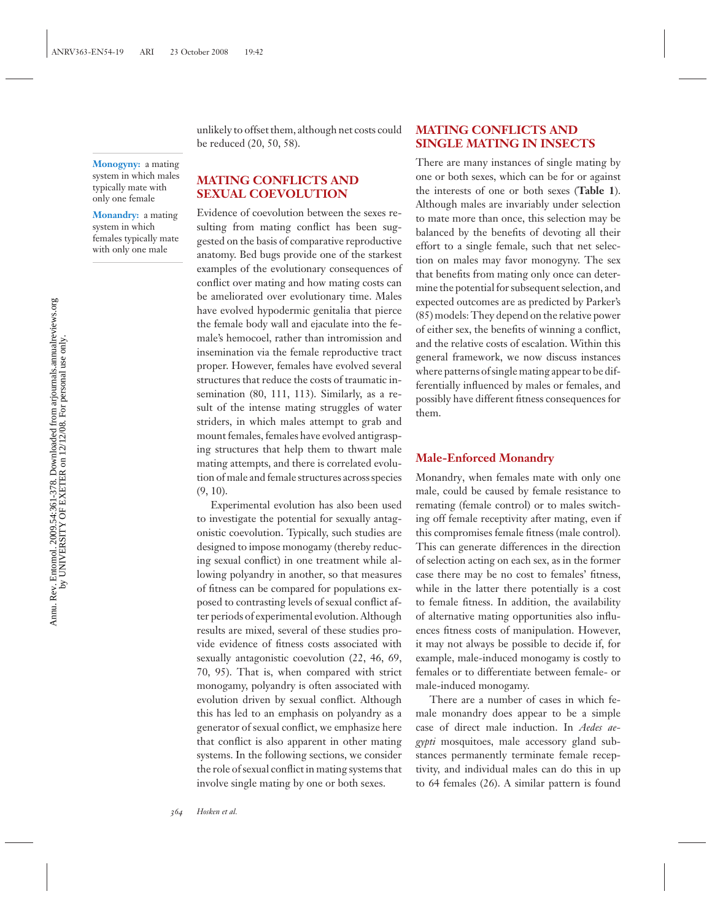unlikely to offset them, although net costs could be reduced (20, 50, 58).

**Monogyny:** a mating system in which males typically mate with only one female

**Monandry:** a mating system in which females typically mate with only one male

# **MATING CONFLICTS AND SEXUAL COEVOLUTION**

Evidence of coevolution between the sexes resulting from mating conflict has been suggested on the basis of comparative reproductive anatomy. Bed bugs provide one of the starkest examples of the evolutionary consequences of conflict over mating and how mating costs can be ameliorated over evolutionary time. Males have evolved hypodermic genitalia that pierce the female body wall and ejaculate into the female's hemocoel, rather than intromission and insemination via the female reproductive tract proper. However, females have evolved several structures that reduce the costs of traumatic insemination (80, 111, 113). Similarly, as a result of the intense mating struggles of water striders, in which males attempt to grab and mount females, females have evolved antigrasping structures that help them to thwart male mating attempts, and there is correlated evolution of male and female structures across species (9, 10).

Experimental evolution has also been used to investigate the potential for sexually antagonistic coevolution. Typically, such studies are designed to impose monogamy (thereby reducing sexual conflict) in one treatment while allowing polyandry in another, so that measures of fitness can be compared for populations exposed to contrasting levels of sexual conflict after periods of experimental evolution. Although results are mixed, several of these studies provide evidence of fitness costs associated with sexually antagonistic coevolution (22, 46, 69, 70, 95). That is, when compared with strict monogamy, polyandry is often associated with evolution driven by sexual conflict. Although this has led to an emphasis on polyandry as a generator of sexual conflict, we emphasize here that conflict is also apparent in other mating systems. In the following sections, we consider the role of sexual conflict in mating systems that involve single mating by one or both sexes.

## **MATING CONFLICTS AND SINGLE MATING IN INSECTS**

There are many instances of single mating by one or both sexes, which can be for or against the interests of one or both sexes (**Table 1**). Although males are invariably under selection to mate more than once, this selection may be balanced by the benefits of devoting all their effort to a single female, such that net selection on males may favor monogyny. The sex that benefits from mating only once can determine the potential for subsequent selection, and expected outcomes are as predicted by Parker's (85) models: They depend on the relative power of either sex, the benefits of winning a conflict, and the relative costs of escalation. Within this general framework, we now discuss instances where patterns of single mating appear to be differentially influenced by males or females, and possibly have different fitness consequences for them.

#### **Male-Enforced Monandry**

Monandry, when females mate with only one male, could be caused by female resistance to remating (female control) or to males switching off female receptivity after mating, even if this compromises female fitness (male control). This can generate differences in the direction of selection acting on each sex, as in the former case there may be no cost to females' fitness, while in the latter there potentially is a cost to female fitness. In addition, the availability of alternative mating opportunities also influences fitness costs of manipulation. However, it may not always be possible to decide if, for example, male-induced monogamy is costly to females or to differentiate between female- or male-induced monogamy.

There are a number of cases in which female monandry does appear to be a simple case of direct male induction. In *Aedes aegypti* mosquitoes, male accessory gland substances permanently terminate female receptivity, and individual males can do this in up to 64 females (26). A similar pattern is found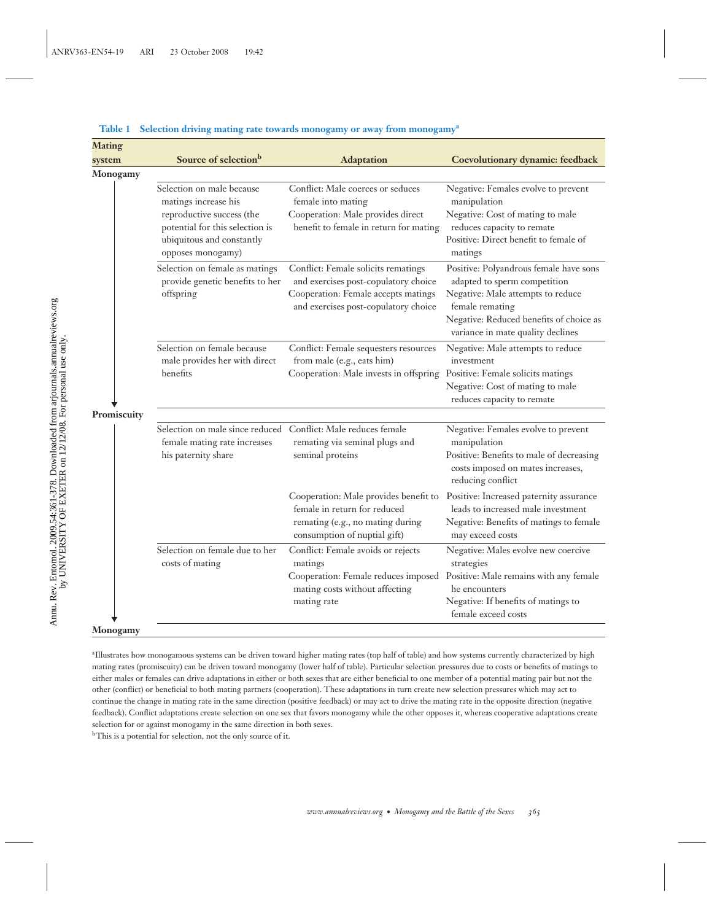|  |  | Table 1 Selection driving mating rate towards monogamy or away from monogamy" |  |  |  |  |
|--|--|-------------------------------------------------------------------------------|--|--|--|--|
|--|--|-------------------------------------------------------------------------------|--|--|--|--|

| <b>Mating</b> |                                                                                                                                                                     |                                                                                                                                                            |                                                                                                                                                                                                                |
|---------------|---------------------------------------------------------------------------------------------------------------------------------------------------------------------|------------------------------------------------------------------------------------------------------------------------------------------------------------|----------------------------------------------------------------------------------------------------------------------------------------------------------------------------------------------------------------|
| system        | Source of selection <sup>b</sup>                                                                                                                                    | <b>Adaptation</b>                                                                                                                                          | Coevolutionary dynamic: feedback                                                                                                                                                                               |
| Monogamy      |                                                                                                                                                                     |                                                                                                                                                            |                                                                                                                                                                                                                |
|               | Selection on male because<br>matings increase his<br>reproductive success (the<br>potential for this selection is<br>ubiquitous and constantly<br>opposes monogamy) | Conflict: Male coerces or seduces<br>female into mating<br>Cooperation: Male provides direct<br>benefit to female in return for mating                     | Negative: Females evolve to prevent<br>manipulation<br>Negative: Cost of mating to male<br>reduces capacity to remate<br>Positive: Direct benefit to female of<br>matings                                      |
|               | Selection on female as matings<br>provide genetic benefits to her<br>offspring                                                                                      | Conflict: Female solicits rematings<br>and exercises post-copulatory choice<br>Cooperation: Female accepts matings<br>and exercises post-copulatory choice | Positive: Polyandrous female have sons<br>adapted to sperm competition<br>Negative: Male attempts to reduce<br>female remating<br>Negative: Reduced benefits of choice as<br>variance in mate quality declines |
|               | Selection on female because<br>male provides her with direct<br>benefits                                                                                            | Conflict: Female sequesters resources<br>from male (e.g., eats him)<br>Cooperation: Male invests in offspring Positive: Female solicits matings            | Negative: Male attempts to reduce<br>investment<br>Negative: Cost of mating to male<br>reduces capacity to remate                                                                                              |
| Promiscuity   |                                                                                                                                                                     |                                                                                                                                                            |                                                                                                                                                                                                                |
|               | Selection on male since reduced<br>female mating rate increases<br>his paternity share                                                                              | Conflict: Male reduces female<br>remating via seminal plugs and<br>seminal proteins                                                                        | Negative: Females evolve to prevent<br>manipulation<br>Positive: Benefits to male of decreasing<br>costs imposed on mates increases,<br>reducing conflict                                                      |
|               |                                                                                                                                                                     | Cooperation: Male provides benefit to<br>female in return for reduced<br>remating (e.g., no mating during<br>consumption of nuptial gift)                  | Positive: Increased paternity assurance<br>leads to increased male investment<br>Negative: Benefits of matings to female<br>may exceed costs                                                                   |
|               | Selection on female due to her<br>costs of mating                                                                                                                   | Conflict: Female avoids or rejects<br>matings<br>Cooperation: Female reduces imposed<br>mating costs without affecting<br>mating rate                      | Negative: Males evolve new coercive<br>strategies<br>Positive: Male remains with any female<br>he encounters<br>Negative: If benefits of matings to<br>female exceed costs                                     |
| Monogamy      |                                                                                                                                                                     |                                                                                                                                                            |                                                                                                                                                                                                                |

aIllustrates how monogamous systems can be driven toward higher mating rates (top half of table) and how systems currently characterized by high mating rates (promiscuity) can be driven toward monogamy (lower half of table). Particular selection pressures due to costs or benefits of matings to either males or females can drive adaptations in either or both sexes that are either beneficial to one member of a potential mating pair but not the other (conflict) or beneficial to both mating partners (cooperation). These adaptations in turn create new selection pressures which may act to continue the change in mating rate in the same direction (positive feedback) or may act to drive the mating rate in the opposite direction (negative feedback). Conflict adaptations create selection on one sex that favors monogamy while the other opposes it, whereas cooperative adaptations create selection for or against monogamy in the same direction in both sexes.

bThis is a potential for selection, not the only source of it.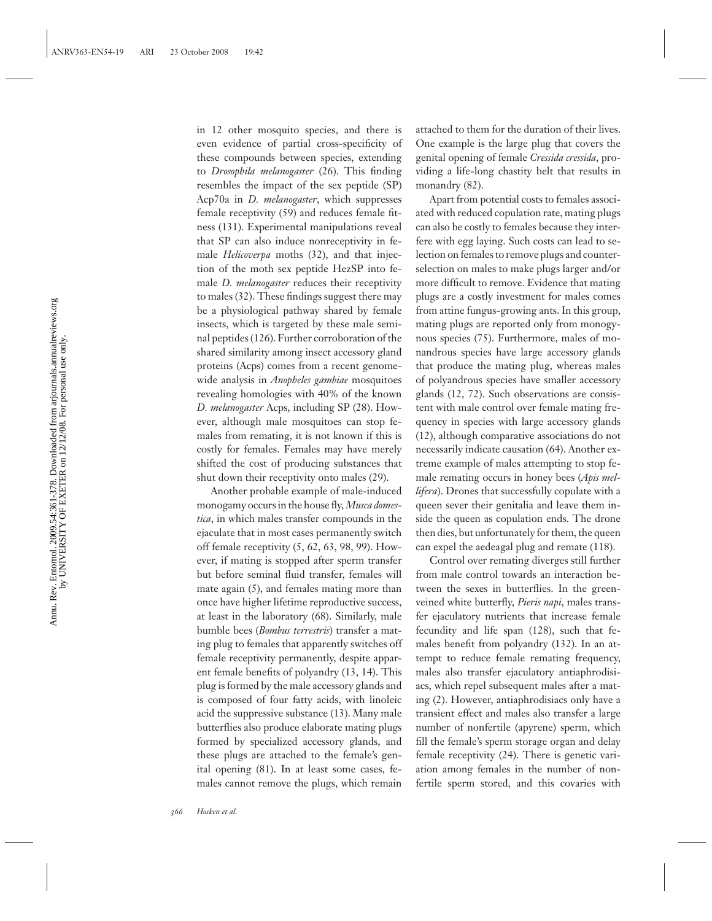in 12 other mosquito species, and there is even evidence of partial cross-specificity of these compounds between species, extending to *Drosophila melanogaster* (26). This finding resembles the impact of the sex peptide (SP) Acp70a in *D. melanogaster*, which suppresses female receptivity (59) and reduces female fitness (131). Experimental manipulations reveal that SP can also induce nonreceptivity in female *Helicoverpa* moths (32), and that injection of the moth sex peptide HezSP into female *D. melanogaster* reduces their receptivity to males (32). These findings suggest there may be a physiological pathway shared by female insects, which is targeted by these male seminal peptides (126). Further corroboration of the shared similarity among insect accessory gland proteins (Acps) comes from a recent genomewide analysis in *Anopheles gambiae* mosquitoes revealing homologies with 40% of the known *D. melanogaster* Acps, including SP (28). However, although male mosquitoes can stop females from remating, it is not known if this is costly for females. Females may have merely shifted the cost of producing substances that shut down their receptivity onto males (29).

Another probable example of male-induced monogamy occurs in the house fly, *Musca domestica*, in which males transfer compounds in the ejaculate that in most cases permanently switch off female receptivity (5, 62, 63, 98, 99). However, if mating is stopped after sperm transfer but before seminal fluid transfer, females will mate again (5), and females mating more than once have higher lifetime reproductive success, at least in the laboratory (68). Similarly, male bumble bees (*Bombus terrestris*) transfer a mating plug to females that apparently switches off female receptivity permanently, despite apparent female benefits of polyandry (13, 14). This plug is formed by the male accessory glands and is composed of four fatty acids, with linoleic acid the suppressive substance (13). Many male butterflies also produce elaborate mating plugs formed by specialized accessory glands, and these plugs are attached to the female's genital opening (81). In at least some cases, females cannot remove the plugs, which remain

attached to them for the duration of their lives. One example is the large plug that covers the genital opening of female *Cressida cressida*, providing a life-long chastity belt that results in monandry (82).

Apart from potential costs to females associated with reduced copulation rate, mating plugs can also be costly to females because they interfere with egg laying. Such costs can lead to selection on females to remove plugs and counterselection on males to make plugs larger and/or more difficult to remove. Evidence that mating plugs are a costly investment for males comes from attine fungus-growing ants. In this group, mating plugs are reported only from monogynous species (75). Furthermore, males of monandrous species have large accessory glands that produce the mating plug, whereas males of polyandrous species have smaller accessory glands (12, 72). Such observations are consistent with male control over female mating frequency in species with large accessory glands (12), although comparative associations do not necessarily indicate causation (64). Another extreme example of males attempting to stop female remating occurs in honey bees (*Apis mellifera*). Drones that successfully copulate with a queen sever their genitalia and leave them inside the queen as copulation ends. The drone then dies, but unfortunately for them, the queen can expel the aedeagal plug and remate (118).

Control over remating diverges still further from male control towards an interaction between the sexes in butterflies. In the greenveined white butterfly, *Pieris napi*, males transfer ejaculatory nutrients that increase female fecundity and life span (128), such that females benefit from polyandry (132). In an attempt to reduce female remating frequency, males also transfer ejaculatory antiaphrodisiacs, which repel subsequent males after a mating (2). However, antiaphrodisiacs only have a transient effect and males also transfer a large number of nonfertile (apyrene) sperm, which fill the female's sperm storage organ and delay female receptivity (24). There is genetic variation among females in the number of nonfertile sperm stored, and this covaries with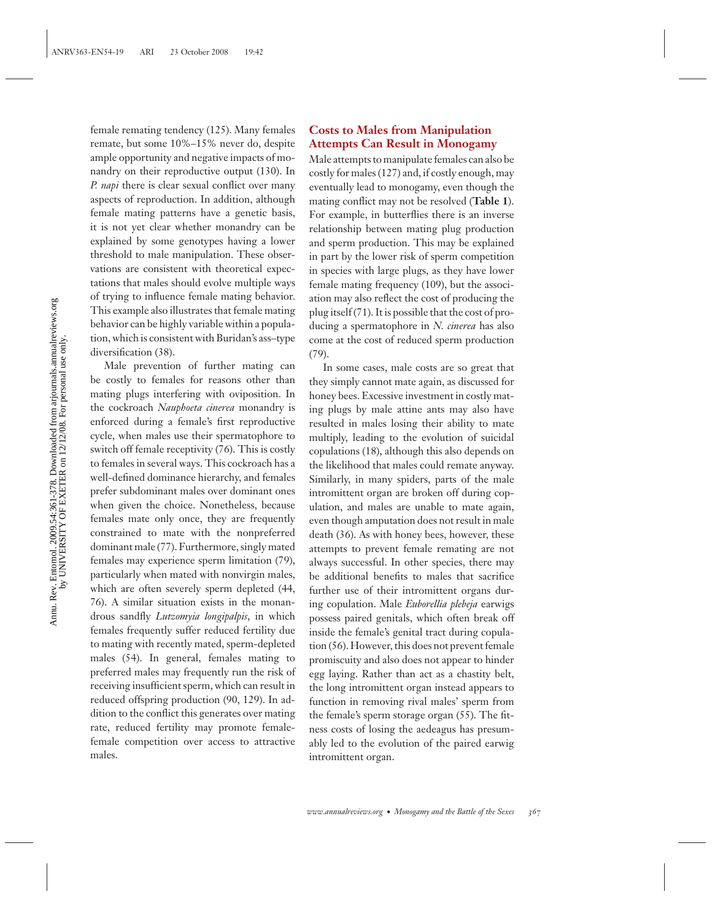female remating tendency (125). Many females remate, but some 10%–15% never do, despite ample opportunity and negative impacts of monandry on their reproductive output (130). In *P. napi* there is clear sexual conflict over many aspects of reproduction. In addition, although female mating patterns have a genetic basis, it is not yet clear whether monandry can be explained by some genotypes having a lower threshold to male manipulation. These observations are consistent with theoretical expectations that males should evolve multiple ways of trying to influence female mating behavior. This example also illustrates that female mating behavior can be highly variable within a population, which is consistent with Buridan's ass–type diversification (38).

Male prevention of further mating can be costly to females for reasons other than mating plugs interfering with oviposition. In the cockroach *Nauphoeta cinerea* monandry is enforced during a female's first reproductive cycle, when males use their spermatophore to switch off female receptivity (76). This is costly to females in several ways. This cockroach has a well-defined dominance hierarchy, and females prefer subdominant males over dominant ones when given the choice. Nonetheless, because females mate only once, they are frequently constrained to mate with the nonpreferred dominant male (77). Furthermore, singly mated females may experience sperm limitation (79), particularly when mated with nonvirgin males, which are often severely sperm depleted (44, 76). A similar situation exists in the monandrous sandfly *Lutzomyia longipalpis*, in which females frequently suffer reduced fertility due to mating with recently mated, sperm-depleted males (54). In general, females mating to preferred males may frequently run the risk of receiving insufficient sperm, which can result in reduced offspring production (90, 129). In addition to the conflict this generates over mating rate, reduced fertility may promote femalefemale competition over access to attractive males.

# **Costs to Males from Manipulation Attempts Can Result in Monogamy**

Male attempts to manipulate females can also be costly for males (127) and, if costly enough, may eventually lead to monogamy, even though the mating conflict may not be resolved (**Table 1**). For example, in butterflies there is an inverse relationship between mating plug production and sperm production. This may be explained in part by the lower risk of sperm competition in species with large plugs, as they have lower female mating frequency (109), but the association may also reflect the cost of producing the plug itself (71). It is possible that the cost of producing a spermatophore in *N. cinerea* has also come at the cost of reduced sperm production (79).

In some cases, male costs are so great that they simply cannot mate again, as discussed for honey bees. Excessive investment in costly mating plugs by male attine ants may also have resulted in males losing their ability to mate multiply, leading to the evolution of suicidal copulations (18), although this also depends on the likelihood that males could remate anyway. Similarly, in many spiders, parts of the male intromittent organ are broken off during copulation, and males are unable to mate again, even though amputation does not result in male death (36). As with honey bees, however, these attempts to prevent female remating are not always successful. In other species, there may be additional benefits to males that sacrifice further use of their intromittent organs during copulation. Male *Euborellia plebeja* earwigs possess paired genitals, which often break off inside the female's genital tract during copulation (56). However, this does not prevent female promiscuity and also does not appear to hinder egg laying. Rather than act as a chastity belt, the long intromittent organ instead appears to function in removing rival males' sperm from the female's sperm storage organ (55). The fitness costs of losing the aedeagus has presumably led to the evolution of the paired earwig intromittent organ.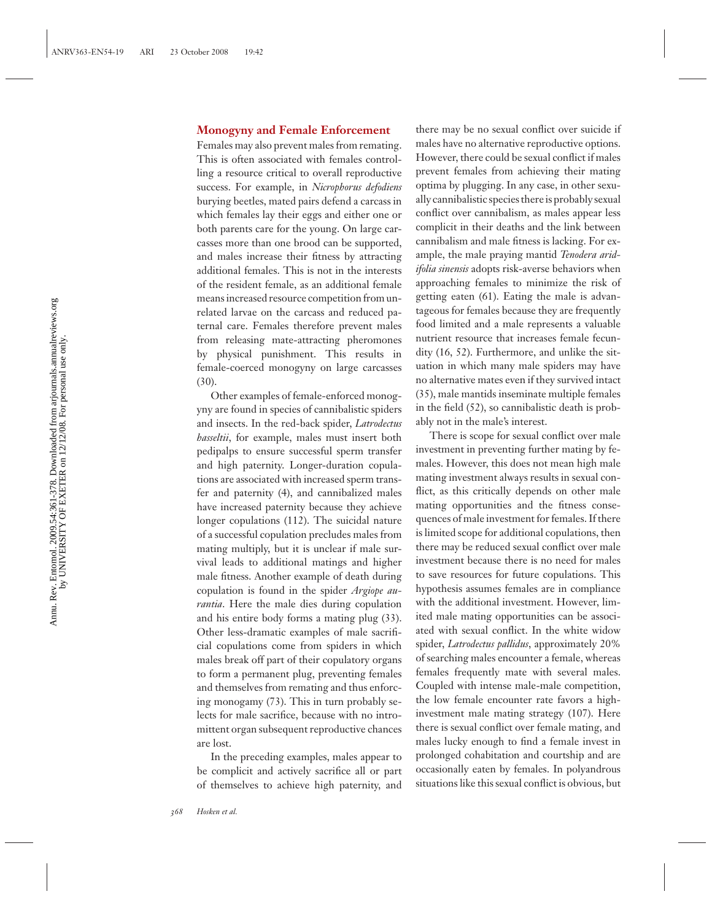#### **Monogyny and Female Enforcement**

Females may also prevent males from remating. This is often associated with females controlling a resource critical to overall reproductive success. For example, in *Nicrophorus defodiens* burying beetles, mated pairs defend a carcass in which females lay their eggs and either one or both parents care for the young. On large carcasses more than one brood can be supported, and males increase their fitness by attracting additional females. This is not in the interests of the resident female, as an additional female means increased resource competition from unrelated larvae on the carcass and reduced paternal care. Females therefore prevent males from releasing mate-attracting pheromones by physical punishment. This results in female-coerced monogyny on large carcasses (30).

Other examples of female-enforced monogyny are found in species of cannibalistic spiders and insects. In the red-back spider, *Latrodectus hasseltii*, for example, males must insert both pedipalps to ensure successful sperm transfer and high paternity. Longer-duration copulations are associated with increased sperm transfer and paternity (4), and cannibalized males have increased paternity because they achieve longer copulations (112). The suicidal nature of a successful copulation precludes males from mating multiply, but it is unclear if male survival leads to additional matings and higher male fitness. Another example of death during copulation is found in the spider *Argiope aurantia*. Here the male dies during copulation and his entire body forms a mating plug (33). Other less-dramatic examples of male sacrificial copulations come from spiders in which males break off part of their copulatory organs to form a permanent plug, preventing females and themselves from remating and thus enforcing monogamy (73). This in turn probably selects for male sacrifice, because with no intromittent organ subsequent reproductive chances are lost.

In the preceding examples, males appear to be complicit and actively sacrifice all or part of themselves to achieve high paternity, and there may be no sexual conflict over suicide if males have no alternative reproductive options. However, there could be sexual conflict if males prevent females from achieving their mating optima by plugging. In any case, in other sexually cannibalistic species there is probably sexual conflict over cannibalism, as males appear less complicit in their deaths and the link between cannibalism and male fitness is lacking. For example, the male praying mantid *Tenodera aridifolia sinensis* adopts risk-averse behaviors when approaching females to minimize the risk of getting eaten (61). Eating the male is advantageous for females because they are frequently food limited and a male represents a valuable nutrient resource that increases female fecundity (16, 52). Furthermore, and unlike the situation in which many male spiders may have no alternative mates even if they survived intact (35), male mantids inseminate multiple females in the field (52), so cannibalistic death is probably not in the male's interest.

There is scope for sexual conflict over male investment in preventing further mating by females. However, this does not mean high male mating investment always results in sexual conflict, as this critically depends on other male mating opportunities and the fitness consequences of male investment for females. If there is limited scope for additional copulations, then there may be reduced sexual conflict over male investment because there is no need for males to save resources for future copulations. This hypothesis assumes females are in compliance with the additional investment. However, limited male mating opportunities can be associated with sexual conflict. In the white widow spider, *Latrodectus pallidus*, approximately 20% of searching males encounter a female, whereas females frequently mate with several males. Coupled with intense male-male competition, the low female encounter rate favors a highinvestment male mating strategy (107). Here there is sexual conflict over female mating, and males lucky enough to find a female invest in prolonged cohabitation and courtship and are occasionally eaten by females. In polyandrous situations like this sexual conflict is obvious, but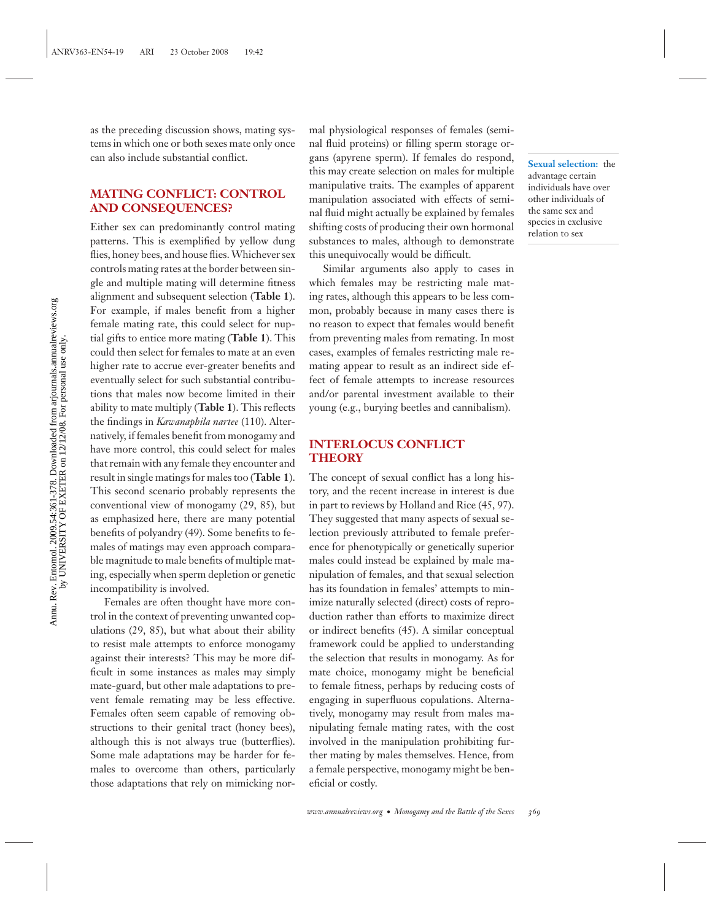as the preceding discussion shows, mating systems in which one or both sexes mate only once can also include substantial conflict.

# **MATING CONFLICT: CONTROL AND CONSEQUENCES?**

Either sex can predominantly control mating patterns. This is exemplified by yellow dung flies, honey bees, and house flies. Whichever sex controls mating rates at the border between single and multiple mating will determine fitness alignment and subsequent selection (**Table 1**). For example, if males benefit from a higher female mating rate, this could select for nuptial gifts to entice more mating (**Table 1**). This could then select for females to mate at an even higher rate to accrue ever-greater benefits and eventually select for such substantial contributions that males now become limited in their ability to mate multiply (**Table 1**). This reflects the findings in *Kawanaphila nartee* (110). Alternatively, if females benefit from monogamy and have more control, this could select for males that remain with any female they encounter and result in single matings for males too (**Table 1**). This second scenario probably represents the conventional view of monogamy (29, 85), but as emphasized here, there are many potential benefits of polyandry (49). Some benefits to females of matings may even approach comparable magnitude to male benefits of multiple mating, especially when sperm depletion or genetic incompatibility is involved.

Females are often thought have more control in the context of preventing unwanted copulations (29, 85), but what about their ability to resist male attempts to enforce monogamy against their interests? This may be more difficult in some instances as males may simply mate-guard, but other male adaptations to prevent female remating may be less effective. Females often seem capable of removing obstructions to their genital tract (honey bees), although this is not always true (butterflies). Some male adaptations may be harder for females to overcome than others, particularly those adaptations that rely on mimicking normal physiological responses of females (seminal fluid proteins) or filling sperm storage organs (apyrene sperm). If females do respond, this may create selection on males for multiple manipulative traits. The examples of apparent manipulation associated with effects of seminal fluid might actually be explained by females shifting costs of producing their own hormonal substances to males, although to demonstrate this unequivocally would be difficult.

Similar arguments also apply to cases in which females may be restricting male mating rates, although this appears to be less common, probably because in many cases there is no reason to expect that females would benefit from preventing males from remating. In most cases, examples of females restricting male remating appear to result as an indirect side effect of female attempts to increase resources and/or parental investment available to their young (e.g., burying beetles and cannibalism).

## **INTERLOCUS CONFLICT THEORY**

The concept of sexual conflict has a long history, and the recent increase in interest is due in part to reviews by Holland and Rice (45, 97). They suggested that many aspects of sexual selection previously attributed to female preference for phenotypically or genetically superior males could instead be explained by male manipulation of females, and that sexual selection has its foundation in females' attempts to minimize naturally selected (direct) costs of reproduction rather than efforts to maximize direct or indirect benefits (45). A similar conceptual framework could be applied to understanding the selection that results in monogamy. As for mate choice, monogamy might be beneficial to female fitness, perhaps by reducing costs of engaging in superfluous copulations. Alternatively, monogamy may result from males manipulating female mating rates, with the cost involved in the manipulation prohibiting further mating by males themselves. Hence, from a female perspective, monogamy might be beneficial or costly.

**Sexual selection:** the advantage certain individuals have over other individuals of the same sex and species in exclusive relation to sex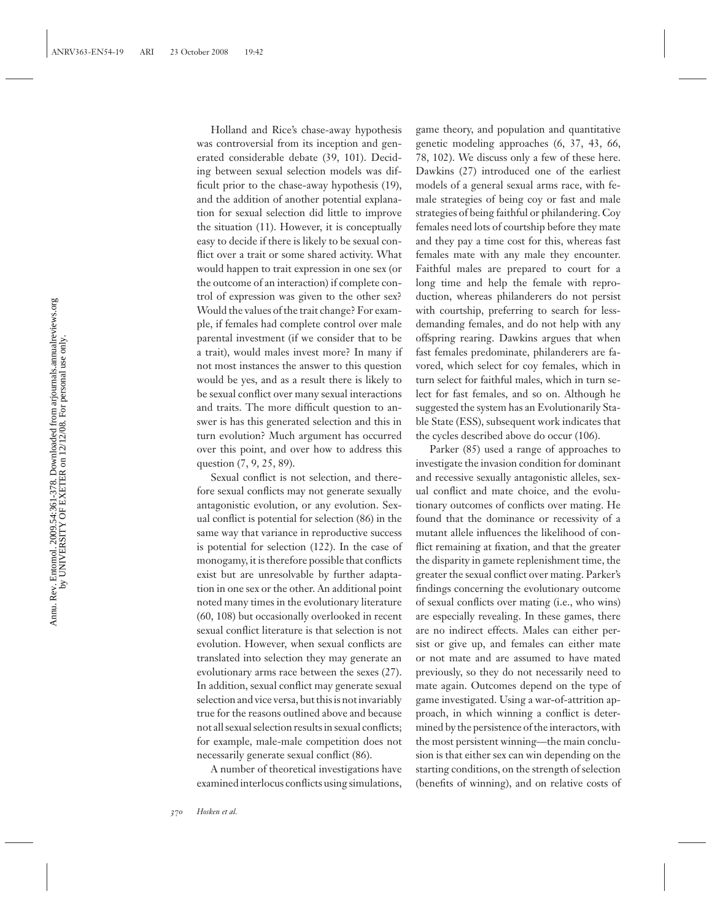Holland and Rice's chase-away hypothesis was controversial from its inception and generated considerable debate (39, 101). Deciding between sexual selection models was difficult prior to the chase-away hypothesis (19), and the addition of another potential explanation for sexual selection did little to improve the situation (11). However, it is conceptually easy to decide if there is likely to be sexual conflict over a trait or some shared activity. What would happen to trait expression in one sex (or the outcome of an interaction) if complete control of expression was given to the other sex? Would the values of the trait change? For example, if females had complete control over male parental investment (if we consider that to be a trait), would males invest more? In many if not most instances the answer to this question would be yes, and as a result there is likely to be sexual conflict over many sexual interactions and traits. The more difficult question to answer is has this generated selection and this in turn evolution? Much argument has occurred over this point, and over how to address this question (7, 9, 25, 89).

Sexual conflict is not selection, and therefore sexual conflicts may not generate sexually antagonistic evolution, or any evolution. Sexual conflict is potential for selection (86) in the same way that variance in reproductive success is potential for selection (122). In the case of monogamy, it is therefore possible that conflicts exist but are unresolvable by further adaptation in one sex or the other. An additional point noted many times in the evolutionary literature (60, 108) but occasionally overlooked in recent sexual conflict literature is that selection is not evolution. However, when sexual conflicts are translated into selection they may generate an evolutionary arms race between the sexes (27). In addition, sexual conflict may generate sexual selection and vice versa, but this is not invariably true for the reasons outlined above and because not all sexual selection results in sexual conflicts; for example, male-male competition does not necessarily generate sexual conflict (86).

A number of theoretical investigations have examined interlocus conflicts using simulations,

game theory, and population and quantitative genetic modeling approaches (6, 37, 43, 66, 78, 102). We discuss only a few of these here. Dawkins (27) introduced one of the earliest models of a general sexual arms race, with female strategies of being coy or fast and male strategies of being faithful or philandering. Coy females need lots of courtship before they mate and they pay a time cost for this, whereas fast females mate with any male they encounter. Faithful males are prepared to court for a long time and help the female with reproduction, whereas philanderers do not persist with courtship, preferring to search for lessdemanding females, and do not help with any offspring rearing. Dawkins argues that when fast females predominate, philanderers are favored, which select for coy females, which in turn select for faithful males, which in turn select for fast females, and so on. Although he suggested the system has an Evolutionarily Stable State (ESS), subsequent work indicates that the cycles described above do occur (106).

Parker (85) used a range of approaches to investigate the invasion condition for dominant and recessive sexually antagonistic alleles, sexual conflict and mate choice, and the evolutionary outcomes of conflicts over mating. He found that the dominance or recessivity of a mutant allele influences the likelihood of conflict remaining at fixation, and that the greater the disparity in gamete replenishment time, the greater the sexual conflict over mating. Parker's findings concerning the evolutionary outcome of sexual conflicts over mating (i.e., who wins) are especially revealing. In these games, there are no indirect effects. Males can either persist or give up, and females can either mate or not mate and are assumed to have mated previously, so they do not necessarily need to mate again. Outcomes depend on the type of game investigated. Using a war-of-attrition approach, in which winning a conflict is determined by the persistence of the interactors, with the most persistent winning—the main conclusion is that either sex can win depending on the starting conditions, on the strength of selection (benefits of winning), and on relative costs of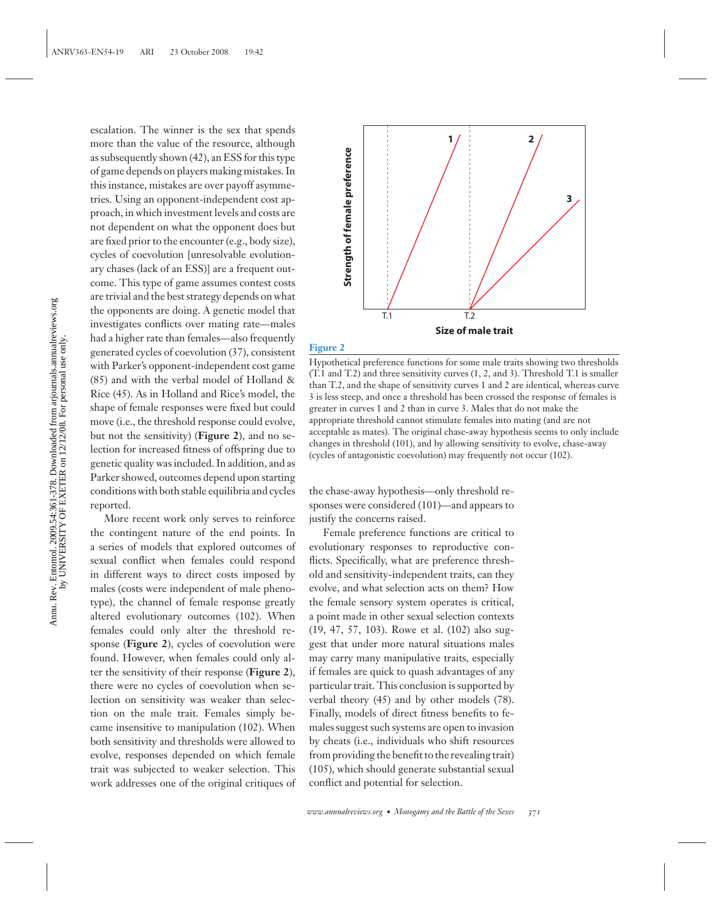escalation. The winner is the sex that spends more than the value of the resource, although as subsequently shown (42), an ESS for this type of game depends on players making mistakes. In this instance, mistakes are over payoff asymmetries. Using an opponent-independent cost approach, in which investment levels and costs are not dependent on what the opponent does but are fixed prior to the encounter (e.g., body size), cycles of coevolution [unresolvable evolutionary chases (lack of an ESS)] are a frequent outcome. This type of game assumes contest costs are trivial and the best strategy depends on what the opponents are doing. A genetic model that investigates conflicts over mating rate—males had a higher rate than females—also frequently generated cycles of coevolution (37), consistent with Parker's opponent-independent cost game (85) and with the verbal model of Holland & Rice (45). As in Holland and Rice's model, the shape of female responses were fixed but could move (i.e., the threshold response could evolve, but not the sensitivity) (**Figure 2**), and no selection for increased fitness of offspring due to genetic quality was included. In addition, and as Parker showed, outcomes depend upon starting conditions with both stable equilibria and cycles reported.

More recent work only serves to reinforce the contingent nature of the end points. In a series of models that explored outcomes of sexual conflict when females could respond in different ways to direct costs imposed by males (costs were independent of male phenotype), the channel of female response greatly altered evolutionary outcomes (102). When females could only alter the threshold response (**Figure 2**), cycles of coevolution were found. However, when females could only alter the sensitivity of their response (**Figure 2**), there were no cycles of coevolution when selection on sensitivity was weaker than selection on the male trait. Females simply became insensitive to manipulation (102). When both sensitivity and thresholds were allowed to evolve, responses depended on which female trait was subjected to weaker selection. This work addresses one of the original critiques of



#### **Figure 2**

Hypothetical preference functions for some male traits showing two thresholds (T.1 and T.2) and three sensitivity curves (1, 2, and 3). Threshold T.1 is smaller than T.2, and the shape of sensitivity curves 1 and 2 are identical, whereas curve 3 is less steep, and once a threshold has been crossed the response of females is greater in curves 1 and 2 than in curve 3. Males that do not make the appropriate threshold cannot stimulate females into mating (and are not acceptable as mates). The original chase-away hypothesis seems to only include changes in threshold (101), and by allowing sensitivity to evolve, chase-away (cycles of antagonistic coevolution) may frequently not occur (102).

the chase-away hypothesis—only threshold responses were considered (101)—and appears to justify the concerns raised.

Female preference functions are critical to evolutionary responses to reproductive conflicts. Specifically, what are preference threshold and sensitivity-independent traits, can they evolve, and what selection acts on them? How the female sensory system operates is critical, a point made in other sexual selection contexts (19, 47, 57, 103). Rowe et al. (102) also suggest that under more natural situations males may carry many manipulative traits, especially if females are quick to quash advantages of any particular trait. This conclusion is supported by verbal theory (45) and by other models (78). Finally, models of direct fitness benefits to females suggest such systems are open to invasion by cheats (i.e., individuals who shift resources from providing the benefit to the revealing trait) (105), which should generate substantial sexual conflict and potential for selection.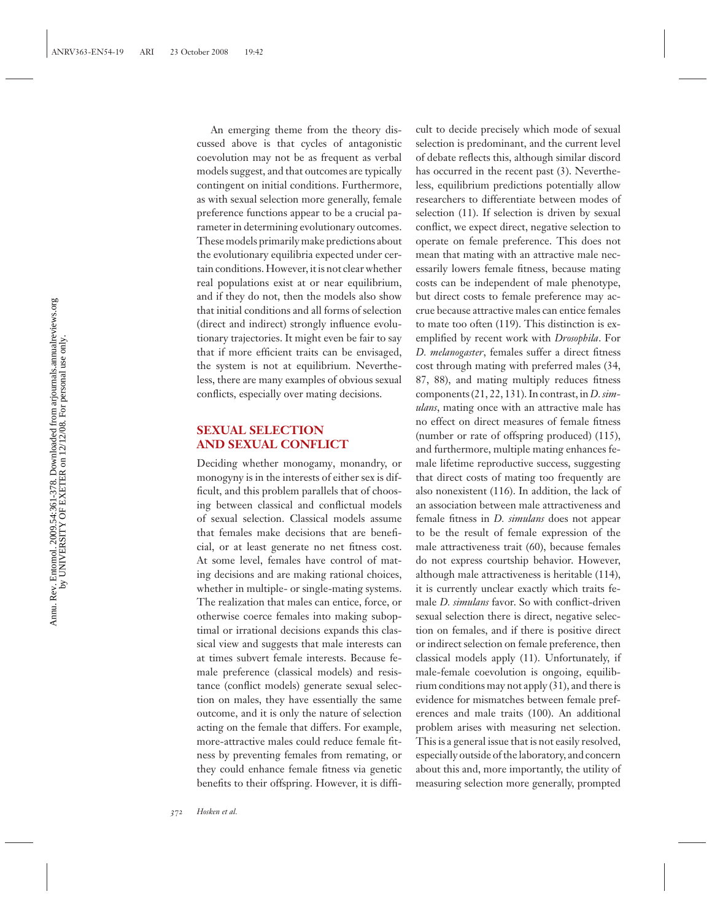An emerging theme from the theory discussed above is that cycles of antagonistic coevolution may not be as frequent as verbal models suggest, and that outcomes are typically contingent on initial conditions. Furthermore, as with sexual selection more generally, female preference functions appear to be a crucial parameter in determining evolutionary outcomes. These models primarily make predictions about the evolutionary equilibria expected under certain conditions. However, it is not clear whether real populations exist at or near equilibrium, and if they do not, then the models also show that initial conditions and all forms of selection (direct and indirect) strongly influence evolutionary trajectories. It might even be fair to say that if more efficient traits can be envisaged, the system is not at equilibrium. Nevertheless, there are many examples of obvious sexual conflicts, especially over mating decisions.

# **SEXUAL SELECTION AND SEXUAL CONFLICT**

Deciding whether monogamy, monandry, or monogyny is in the interests of either sex is difficult, and this problem parallels that of choosing between classical and conflictual models of sexual selection. Classical models assume that females make decisions that are beneficial, or at least generate no net fitness cost. At some level, females have control of mating decisions and are making rational choices, whether in multiple- or single-mating systems. The realization that males can entice, force, or otherwise coerce females into making suboptimal or irrational decisions expands this classical view and suggests that male interests can at times subvert female interests. Because female preference (classical models) and resistance (conflict models) generate sexual selection on males, they have essentially the same outcome, and it is only the nature of selection acting on the female that differs. For example, more-attractive males could reduce female fitness by preventing females from remating, or they could enhance female fitness via genetic benefits to their offspring. However, it is difficult to decide precisely which mode of sexual selection is predominant, and the current level of debate reflects this, although similar discord has occurred in the recent past (3). Nevertheless, equilibrium predictions potentially allow researchers to differentiate between modes of selection (11). If selection is driven by sexual conflict, we expect direct, negative selection to operate on female preference. This does not mean that mating with an attractive male necessarily lowers female fitness, because mating costs can be independent of male phenotype, but direct costs to female preference may accrue because attractive males can entice females to mate too often (119). This distinction is exemplified by recent work with *Drosophila*. For *D. melanogaster*, females suffer a direct fitness cost through mating with preferred males (34, 87, 88), and mating multiply reduces fitness components (21, 22, 131). In contrast, in *D. simulans*, mating once with an attractive male has no effect on direct measures of female fitness (number or rate of offspring produced) (115), and furthermore, multiple mating enhances female lifetime reproductive success, suggesting that direct costs of mating too frequently are also nonexistent (116). In addition, the lack of an association between male attractiveness and female fitness in *D. simulans* does not appear to be the result of female expression of the male attractiveness trait (60), because females do not express courtship behavior. However, although male attractiveness is heritable (114), it is currently unclear exactly which traits female *D. simulans* favor. So with conflict-driven sexual selection there is direct, negative selection on females, and if there is positive direct or indirect selection on female preference, then classical models apply (11). Unfortunately, if male-female coevolution is ongoing, equilibrium conditions may not apply (31), and there is evidence for mismatches between female preferences and male traits (100). An additional problem arises with measuring net selection. This is a general issue that is not easily resolved, especially outside of the laboratory, and concern about this and, more importantly, the utility of measuring selection more generally, prompted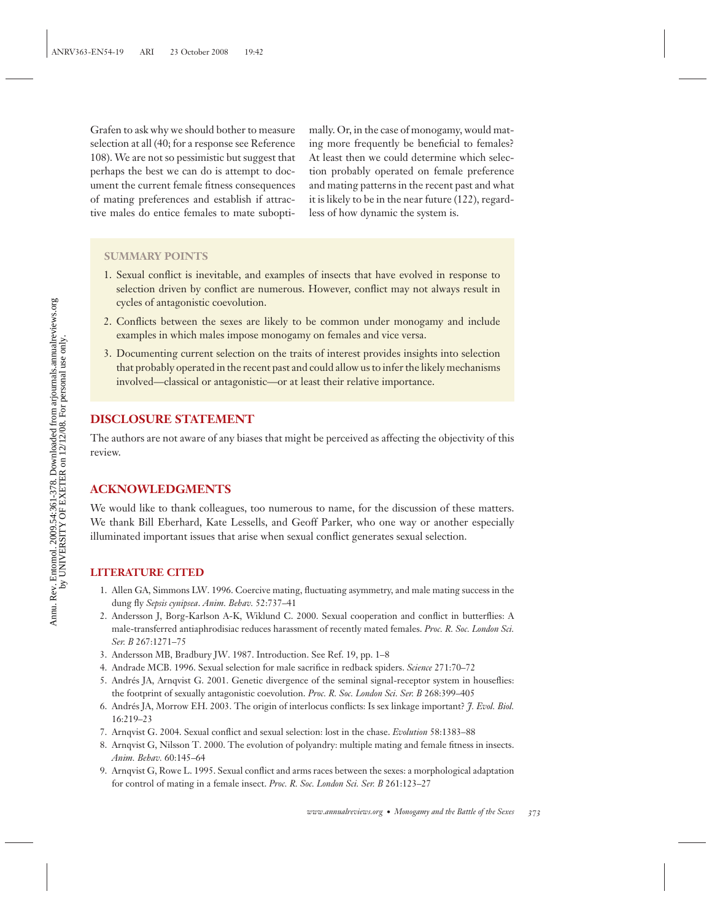Grafen to ask why we should bother to measure selection at all (40; for a response see Reference 108). We are not so pessimistic but suggest that perhaps the best we can do is attempt to document the current female fitness consequences of mating preferences and establish if attractive males do entice females to mate suboptimally. Or, in the case of monogamy, would mating more frequently be beneficial to females? At least then we could determine which selection probably operated on female preference and mating patterns in the recent past and what it is likely to be in the near future (122), regardless of how dynamic the system is.

#### **SUMMARY POINTS**

- 1. Sexual conflict is inevitable, and examples of insects that have evolved in response to selection driven by conflict are numerous. However, conflict may not always result in cycles of antagonistic coevolution.
- 2. Conflicts between the sexes are likely to be common under monogamy and include examples in which males impose monogamy on females and vice versa.
- 3. Documenting current selection on the traits of interest provides insights into selection that probably operated in the recent past and could allow us to infer the likely mechanisms involved—classical or antagonistic—or at least their relative importance.

#### **DISCLOSURE STATEMENT**

The authors are not aware of any biases that might be perceived as affecting the objectivity of this review.

#### **ACKNOWLEDGMENTS**

We would like to thank colleagues, too numerous to name, for the discussion of these matters. We thank Bill Eberhard, Kate Lessells, and Geoff Parker, who one way or another especially illuminated important issues that arise when sexual conflict generates sexual selection.

#### **LITERATURE CITED**

- 1. Allen GA, Simmons LW. 1996. Coercive mating, fluctuating asymmetry, and male mating success in the dung fly *Sepsis cynipsea*. *Anim. Behav.* 52:737–41
- 2. Andersson J, Borg-Karlson A-K, Wiklund C. 2000. Sexual cooperation and conflict in butterflies: A male-transferred antiaphrodisiac reduces harassment of recently mated females. *Proc. R. Soc. London Sci. Ser. B* 267:1271–75
- 3. Andersson MB, Bradbury JW. 1987. Introduction. See Ref. 19, pp. 1–8
- 4. Andrade MCB. 1996. Sexual selection for male sacrifice in redback spiders. *Science* 271:70–72
- 5. Andres JA, Arnqvist G. 2001. Genetic divergence of the seminal signal-receptor system in houseflies: ´ the footprint of sexually antagonistic coevolution. *Proc. R. Soc. London Sci. Ser. B* 268:399–405
- 6. Andrés JA, Morrow EH. 2003. The origin of interlocus conflicts: Is sex linkage important? *J. Evol. Biol.* 16:219–23
- 7. Arnqvist G. 2004. Sexual conflict and sexual selection: lost in the chase. *Evolution* 58:1383–88
- 8. Arnqvist G, Nilsson T. 2000. The evolution of polyandry: multiple mating and female fitness in insects. *Anim. Behav.* 60:145–64
- 9. Arnqvist G, Rowe L. 1995. Sexual conflict and arms races between the sexes: a morphological adaptation for control of mating in a female insect. *Proc. R. Soc. London Sci. Ser. B* 261:123–27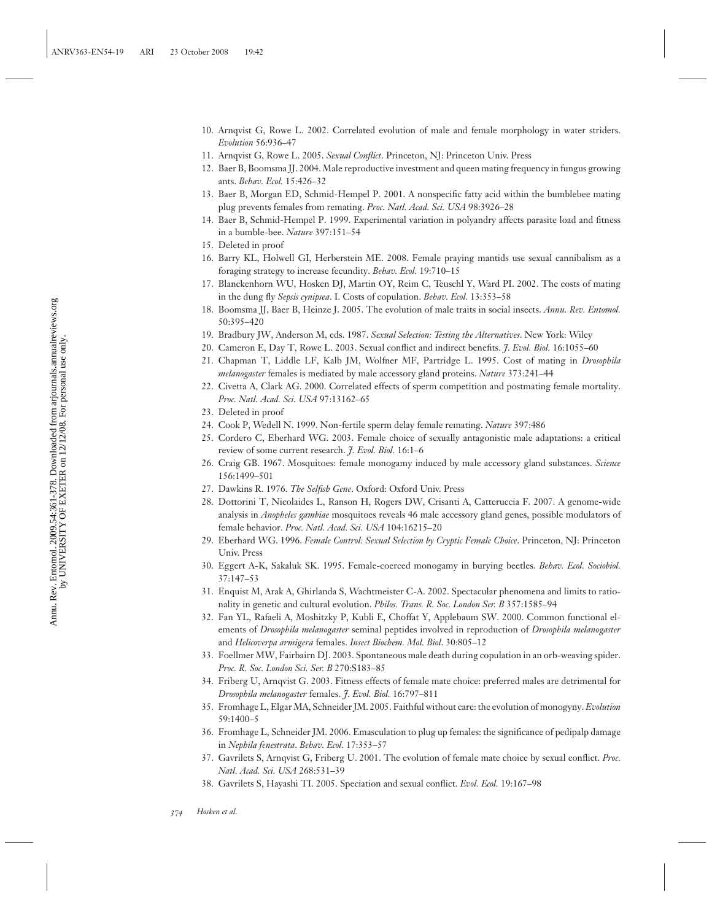- 10. Arnqvist G, Rowe L. 2002. Correlated evolution of male and female morphology in water striders. *Evolution* 56:936–47
- 11. Arnqvist G, Rowe L. 2005. *Sexual Conflict*. Princeton, NJ: Princeton Univ. Press
- 12. Baer B, Boomsma JJ. 2004. Male reproductive investment and queen mating frequency in fungus growing ants. *Behav. Ecol.* 15:426–32
- 13. Baer B, Morgan ED, Schmid-Hempel P. 2001. A nonspecific fatty acid within the bumblebee mating plug prevents females from remating. *Proc. Natl. Acad. Sci. USA* 98:3926–28
- 14. Baer B, Schmid-Hempel P. 1999. Experimental variation in polyandry affects parasite load and fitness in a bumble-bee. *Nature* 397:151–54
- 15. Deleted in proof
- 16. Barry KL, Holwell GI, Herberstein ME. 2008. Female praying mantids use sexual cannibalism as a foraging strategy to increase fecundity. *Behav. Ecol.* 19:710–15
- 17. Blanckenhorn WU, Hosken DJ, Martin OY, Reim C, Teuschl Y, Ward PI. 2002. The costs of mating in the dung fly *Sepsis cynipsea*. I. Costs of copulation. *Behav. Ecol.* 13:353–58
- 18. Boomsma JJ, Baer B, Heinze J. 2005. The evolution of male traits in social insects. *Annu. Rev. Entomol.* 50:395–420
- 19. Bradbury JW, Anderson M, eds. 1987. *Sexual Selection: Testing the Alternatives*. New York: Wiley
- 20. Cameron E, Day T, Rowe L. 2003. Sexual conflict and indirect benefits. *J. Evol. Biol.* 16:1055–60
- 21. Chapman T, Liddle LF, Kalb JM, Wolfner MF, Partridge L. 1995. Cost of mating in *Drosophila melanogaster* females is mediated by male accessory gland proteins. *Nature* 373:241–44
- 22. Civetta A, Clark AG. 2000. Correlated effects of sperm competition and postmating female mortality. *Proc. Natl. Acad. Sci. USA* 97:13162–65
- 23. Deleted in proof
- 24. Cook P, Wedell N. 1999. Non-fertile sperm delay female remating. *Nature* 397:486
- 25. Cordero C, Eberhard WG. 2003. Female choice of sexually antagonistic male adaptations: a critical review of some current research. *J. Evol. Biol.* 16:1–6
- 26. Craig GB. 1967. Mosquitoes: female monogamy induced by male accessory gland substances. *Science* 156:1499–501
- 27. Dawkins R. 1976. *The Selfish Gene*. Oxford: Oxford Univ. Press
- 28. Dottorini T, Nicolaides L, Ranson H, Rogers DW, Crisanti A, Catteruccia F. 2007. A genome-wide analysis in *Anopheles gambiae* mosquitoes reveals 46 male accessory gland genes, possible modulators of female behavior. *Proc. Natl. Acad. Sci. USA* 104:16215–20
- 29. Eberhard WG. 1996. *Female Control: Sexual Selection by Cryptic Female Choice*. Princeton, NJ: Princeton Univ. Press
- 30. Eggert A-K, Sakaluk SK. 1995. Female-coerced monogamy in burying beetles. *Behav. Ecol. Sociobiol.* 37:147–53
- 31. Enquist M, Arak A, Ghirlanda S, Wachtmeister C-A. 2002. Spectacular phenomena and limits to rationality in genetic and cultural evolution. *Philos. Trans. R. Soc. London Ser. B* 357:1585–94
- 32. Fan YL, Rafaeli A, Moshitzky P, Kubli E, Choffat Y, Applebaum SW. 2000. Common functional elements of *Drosophila melanogaster* seminal peptides involved in reproduction of *Drosophila melanogaster* and *Helicoverpa armigera* females. *Insect Biochem. Mol. Biol*. 30:805–12
- 33. Foellmer MW, Fairbairn DJ. 2003. Spontaneous male death during copulation in an orb-weaving spider. *Proc. R. Soc. London Sci. Ser. B* 270:S183–85
- 34. Friberg U, Arnqvist G. 2003. Fitness effects of female mate choice: preferred males are detrimental for *Drosophila melanogaster* females. *J. Evol. Biol.* 16:797–811
- 35. Fromhage L, Elgar MA, Schneider JM. 2005. Faithful without care: the evolution of monogyny. *Evolution* 59:1400–5
- 36. Fromhage L, Schneider JM. 2006. Emasculation to plug up females: the significance of pedipalp damage in *Nephila fenestrata*. *Behav. Ecol*. 17:353–57
- 37. Gavrilets S, Arnqvist G, Friberg U. 2001. The evolution of female mate choice by sexual conflict. *Proc. Natl. Acad. Sci. USA* 268:531–39
- 38. Gavrilets S, Hayashi TI. 2005. Speciation and sexual conflict. *Evol. Ecol.* 19:167–98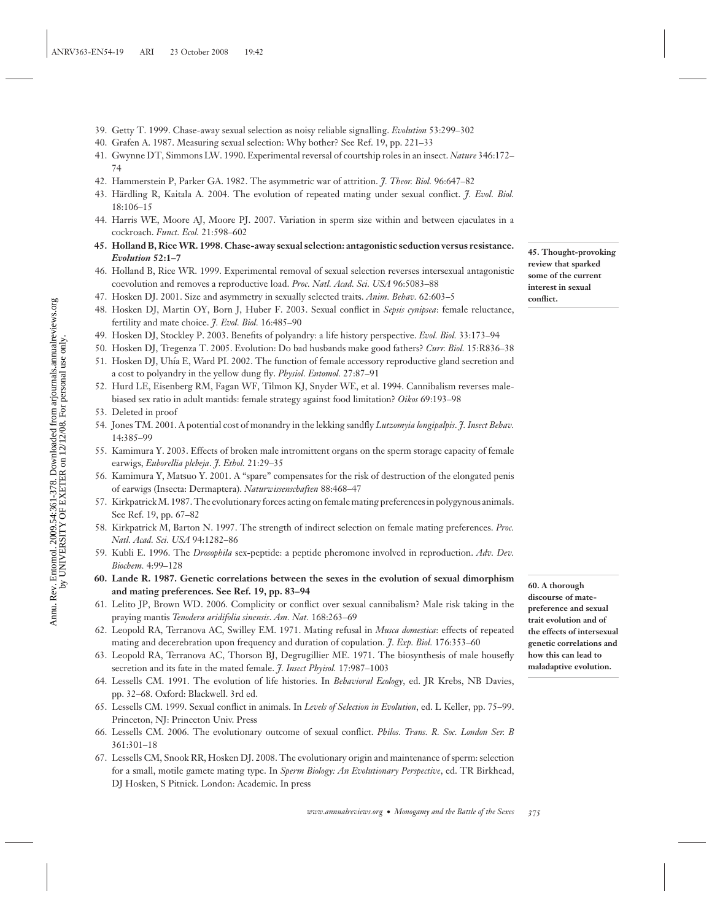- 39. Getty T. 1999. Chase-away sexual selection as noisy reliable signalling. *Evolution* 53:299–302
- 40. Grafen A. 1987. Measuring sexual selection: Why bother? See Ref. 19, pp. 221–33
- 41. Gwynne DT, Simmons LW. 1990. Experimental reversal of courtship roles in an insect. *Nature* 346:172– 74
- 42. Hammerstein P, Parker GA. 1982. The asymmetric war of attrition. *J. Theor. Biol.* 96:647–82
- 43. Härdling R, Kaitala A. 2004. The evolution of repeated mating under sexual conflict. *7. Evol. Biol.* 18:106–15
- 44. Harris WE, Moore AJ, Moore PJ. 2007. Variation in sperm size within and between ejaculates in a cockroach. *Funct. Ecol.* 21:598–602
- **45. Holland B, Rice WR. 1998. Chase-away sexual selection: antagonistic seduction versus resistance.** *Evolution* **52:1–7**
- 46. Holland B, Rice WR. 1999. Experimental removal of sexual selection reverses intersexual antagonistic coevolution and removes a reproductive load. *Proc. Natl. Acad. Sci. USA* 96:5083–88
- 47. Hosken DJ. 2001. Size and asymmetry in sexually selected traits. *Anim. Behav.* 62:603–5
- 48. Hosken DJ, Martin OY, Born J, Huber F. 2003. Sexual conflict in *Sepsis cynipsea*: female reluctance, fertility and mate choice. *J. Evol. Biol.* 16:485–90
- 49. Hosken DJ, Stockley P. 2003. Benefits of polyandry: a life history perspective. *Evol. Biol.* 33:173–94
- 50. Hosken DJ, Tregenza T. 2005. Evolution: Do bad husbands make good fathers? *Curr. Biol.* 15:R836–38
- 51. Hosken DJ, Uhía E, Ward PI. 2002. The function of female accessory reproductive gland secretion and a cost to polyandry in the yellow dung fly. *Physiol. Entomol.* 27:87–91
- 52. Hurd LE, Eisenberg RM, Fagan WF, Tilmon KJ, Snyder WE, et al. 1994. Cannibalism reverses malebiased sex ratio in adult mantids: female strategy against food limitation? *Oikos* 69:193–98
- 53. Deleted in proof
- 54. Jones TM. 2001. A potential cost of monandry in the lekking sandfly *Lutzomyia longipalpis*. *J. Insect Behav.* 14:385–99
- 55. Kamimura Y. 2003. Effects of broken male intromittent organs on the sperm storage capacity of female earwigs, *Euborellia plebeja*. *J. Ethol.* 21:29–35
- 56. Kamimura Y, Matsuo Y. 2001. A "spare" compensates for the risk of destruction of the elongated penis of earwigs (Insecta: Dermaptera). *Naturwissenschaften* 88:468–47
- 57. Kirkpatrick M. 1987. The evolutionary forces acting on female mating preferences in polygynous animals. See Ref. 19, pp. 67–82
- 58. Kirkpatrick M, Barton N. 1997. The strength of indirect selection on female mating preferences. *Proc. Natl. Acad. Sci. USA* 94:1282–86
- 59. Kubli E. 1996. The *Drosophila* sex-peptide: a peptide pheromone involved in reproduction. *Adv. Dev. Biochem.* 4:99–128
- **60. Lande R. 1987. Genetic correlations between the sexes in the evolution of sexual dimorphism and mating preferences. See Ref. 19, pp. 83–94**
- 61. Lelito JP, Brown WD. 2006. Complicity or conflict over sexual cannibalism? Male risk taking in the praying mantis *Tenodera aridifolia sinensis*. *Am. Nat.* 168:263–69
- 62. Leopold RA, Terranova AC, Swilley EM. 1971. Mating refusal in *Musca domestica*: effects of repeated mating and decerebration upon frequency and duration of copulation. *J. Exp. Biol.* 176:353–60
- 63. Leopold RA, Terranova AC, Thorson BJ, Degrugillier ME. 1971. The biosynthesis of male housefly secretion and its fate in the mated female. *J. Insect Phyisol.* 17:987–1003
- 64. Lessells CM. 1991. The evolution of life histories. In *Behavioral Ecology*, ed. JR Krebs, NB Davies, pp. 32–68. Oxford: Blackwell. 3rd ed.
- 65. Lessells CM. 1999. Sexual conflict in animals. In *Levels of Selection in Evolution*, ed. L Keller, pp. 75–99. Princeton, NJ: Princeton Univ. Press
- 66. Lessells CM. 2006. The evolutionary outcome of sexual conflict. *Philos. Trans. R. Soc. London Ser. B* 361:301–18
- 67. Lessells CM, Snook RR, Hosken DJ. 2008. The evolutionary origin and maintenance of sperm: selection for a small, motile gamete mating type. In *Sperm Biology: An Evolutionary Perspective*, ed. TR Birkhead, DJ Hosken, S Pitnick. London: Academic. In press

**45. Thought-provoking review that sparked some of the current interest in sexual conflict.**

**60. A thorough discourse of matepreference and sexual trait evolution and of the effects of intersexual genetic correlations and how this can lead to maladaptive evolution.**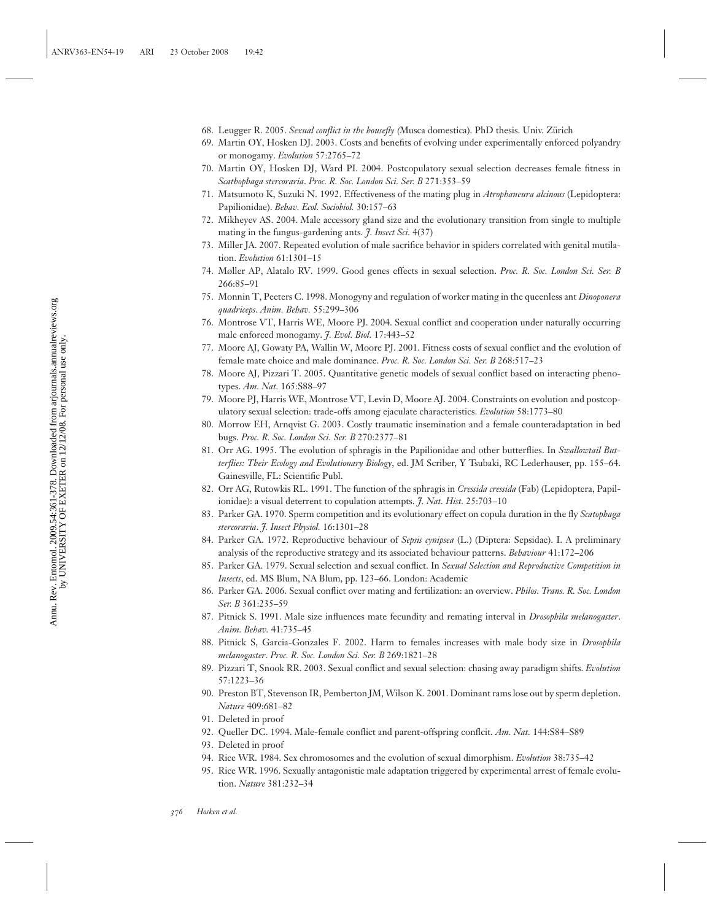- 68. Leugger R. 2005. *Sexual conflict in the housefly (*Musca domestica). PhD thesis. Univ. Zurich ¨
- 69. Martin OY, Hosken DJ. 2003. Costs and benefits of evolving under experimentally enforced polyandry or monogamy. *Evolution* 57:2765–72
- 70. Martin OY, Hosken DJ, Ward PI. 2004. Postcopulatory sexual selection decreases female fitness in *Scathophaga stercoraria*. *Proc. R. Soc. London Sci. Ser. B* 271:353–59
- 71. Matsumoto K, Suzuki N. 1992. Effectiveness of the mating plug in *Atrophaneura alcinous* (Lepidoptera: Papilionidae). *Behav. Ecol. Sociobiol.* 30:157–63
- 72. Mikheyev AS. 2004. Male accessory gland size and the evolutionary transition from single to multiple mating in the fungus-gardening ants. *J. Insect Sci.* 4(37)
- 73. Miller JA. 2007. Repeated evolution of male sacrifice behavior in spiders correlated with genital mutilation. *Evolution* 61:1301–15
- 74. Møller AP, Alatalo RV. 1999. Good genes effects in sexual selection. *Proc. R. Soc. London Sci. Ser. B* 266:85–91
- 75. Monnin T, Peeters C. 1998. Monogyny and regulation of worker mating in the queenless ant *Dinoponera quadriceps*. *Anim. Behav.* 55:299–306
- 76. Montrose VT, Harris WE, Moore PJ. 2004. Sexual conflict and cooperation under naturally occurring male enforced monogamy. *J. Evol. Biol.* 17:443–52
- 77. Moore AJ, Gowaty PA, Wallin W, Moore PJ. 2001. Fitness costs of sexual conflict and the evolution of female mate choice and male dominance. *Proc. R. Soc. London Sci. Ser. B* 268:517–23
- 78. Moore AJ, Pizzari T. 2005. Quantitative genetic models of sexual conflict based on interacting phenotypes. *Am. Nat.* 165:S88–97
- 79. Moore PJ, Harris WE, Montrose VT, Levin D, Moore AJ. 2004. Constraints on evolution and postcopulatory sexual selection: trade-offs among ejaculate characteristics. *Evolution* 58:1773–80
- 80. Morrow EH, Arnqvist G. 2003. Costly traumatic insemination and a female counteradaptation in bed bugs. *Proc. R. Soc. London Sci. Ser. B* 270:2377–81
- 81. Orr AG. 1995. The evolution of sphragis in the Papilionidae and other butterflies. In *Swallowtail Butterflies: Their Ecology and Evolutionary Biology*, ed. JM Scriber, Y Tsubaki, RC Lederhauser, pp. 155–64. Gainesville, FL: Scientific Publ.
- 82. Orr AG, Rutowkis RL. 1991. The function of the sphragis in *Cressida cressida* (Fab) (Lepidoptera, Papilionidae): a visual deterrent to copulation attempts. *J. Nat. Hist.* 25:703–10
- 83. Parker GA. 1970. Sperm competition and its evolutionary effect on copula duration in the fly *Scatophaga stercoraria*. *J. Insect Physiol.* 16:1301–28
- 84. Parker GA. 1972. Reproductive behaviour of *Sepsis cynipsea* (L.) (Diptera: Sepsidae). I. A preliminary analysis of the reproductive strategy and its associated behaviour patterns. *Behaviour* 41:172–206
- 85. Parker GA. 1979. Sexual selection and sexual conflict. In *Sexual Selection and Reproductive Competition in Insects*, ed. MS Blum, NA Blum, pp. 123–66. London: Academic
- 86. Parker GA. 2006. Sexual conflict over mating and fertilization: an overview. *Philos. Trans. R. Soc. London Ser. B* 361:235–59
- 87. Pitnick S. 1991. Male size influences mate fecundity and remating interval in *Drosophila melanogaster*. *Anim. Behav.* 41:735–45
- 88. Pitnick S, Garcia-Gonzales F. 2002. Harm to females increases with male body size in *Drosophila melanogaster*. *Proc. R. Soc. London Sci. Ser. B* 269:1821–28
- 89. Pizzari T, Snook RR. 2003. Sexual conflict and sexual selection: chasing away paradigm shifts. *Evolution* 57:1223–36
- 90. Preston BT, Stevenson IR, Pemberton JM, Wilson K. 2001. Dominant rams lose out by sperm depletion. *Nature* 409:681–82
- 91. Deleted in proof
- 92. Queller DC. 1994. Male-female conflict and parent-offspring conflcit. *Am. Nat.* 144:S84–S89
- 93. Deleted in proof
- 94. Rice WR. 1984. Sex chromosomes and the evolution of sexual dimorphism. *Evolution* 38:735–42
- 95. Rice WR. 1996. Sexually antagonistic male adaptation triggered by experimental arrest of female evolution. *Nature* 381:232–34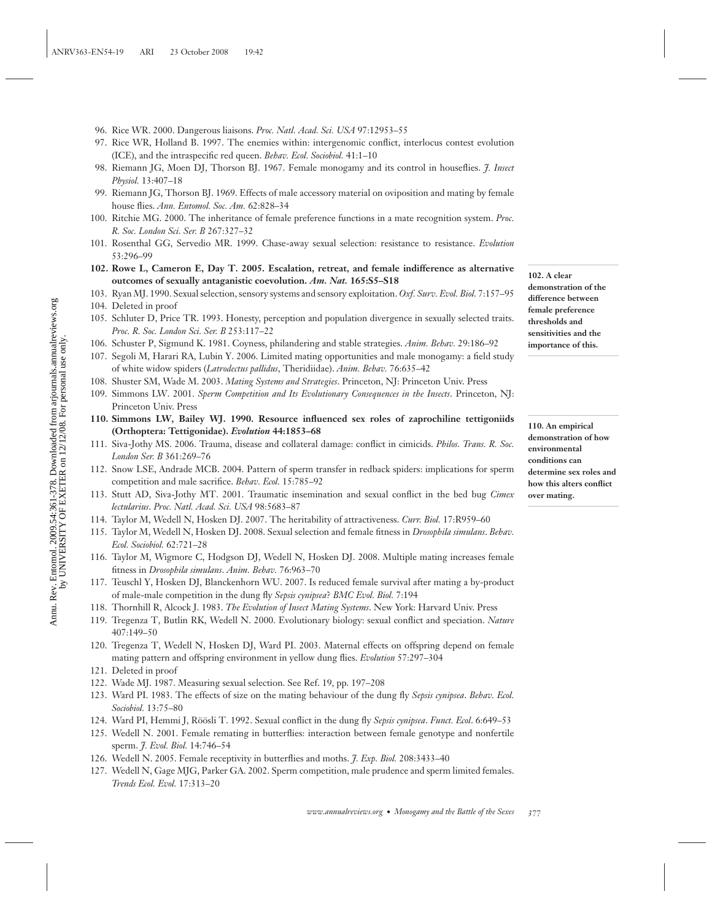- 96. Rice WR. 2000. Dangerous liaisons. *Proc. Natl. Acad. Sci. USA* 97:12953–55
- 97. Rice WR, Holland B. 1997. The enemies within: intergenomic conflict, interlocus contest evolution (ICE), and the intraspecific red queen. *Behav. Ecol. Sociobiol.* 41:1–10
- 98. Riemann JG, Moen DJ, Thorson BJ. 1967. Female monogamy and its control in houseflies. *J. Insect Physiol.* 13:407–18
- 99. Riemann JG, Thorson BJ. 1969. Effects of male accessory material on oviposition and mating by female house flies. *Ann. Entomol. Soc. Am.* 62:828–34
- 100. Ritchie MG. 2000. The inheritance of female preference functions in a mate recognition system. *Proc. R. Soc. London Sci. Ser. B* 267:327–32
- 101. Rosenthal GG, Servedio MR. 1999. Chase-away sexual selection: resistance to resistance. *Evolution* 53:296–99
- **102. Rowe L, Cameron E, Day T. 2005. Escalation, retreat, and female indifference as alternative outcomes of sexually antaganistic coevolution.** *Am. Nat.* **165:S5–S18**
- 103. Ryan MJ. 1990. Sexual selection, sensory systems and sensory exploitation. *Oxf. Surv. Evol. Biol.* 7:157–95
- 104. Deleted in proof
- 105. Schluter D, Price TR. 1993. Honesty, perception and population divergence in sexually selected traits. *Proc. R. Soc. London Sci. Ser. B* 253:117–22
- 106. Schuster P, Sigmund K. 1981. Coyness, philandering and stable strategies. *Anim. Behav.* 29:186–92
- 107. Segoli M, Harari RA, Lubin Y. 2006. Limited mating opportunities and male monogamy: a field study of white widow spiders (*Latrodectus pallidus*, Theridiidae). *Anim. Behav.* 76:635–42
- 108. Shuster SM, Wade M. 2003. *Mating Systems and Strategies*. Princeton, NJ: Princeton Univ. Press
- 109. Simmons LW. 2001. *Sperm Competition and Its Evolutionary Consequences in the Insects*. Princeton, NJ: Princeton Univ. Press
- **110. Simmons LW, Bailey WJ. 1990. Resource influenced sex roles of zaprochiline tettigoniids (Orthoptera: Tettigonidae).** *Evolution* **44:1853–68**
- 111. Siva-Jothy MS. 2006. Trauma, disease and collateral damage: conflict in cimicids. *Philos. Trans. R. Soc. London Ser. B* 361:269–76
- 112. Snow LSE, Andrade MCB. 2004. Pattern of sperm transfer in redback spiders: implications for sperm competition and male sacrifice. *Behav. Ecol.* 15:785–92
- 113. Stutt AD, Siva-Jothy MT. 2001. Traumatic insemination and sexual conflict in the bed bug *Cimex lectularius*. *Proc. Natl. Acad. Sci. USA* 98:5683–87
- 114. Taylor M, Wedell N, Hosken DJ. 2007. The heritability of attractiveness. *Curr. Biol.* 17:R959–60
- 115. Taylor M, Wedell N, Hosken DJ. 2008. Sexual selection and female fitness in *Drosophila simulans*. *Behav. Ecol. Sociobiol.* 62:721–28
- 116. Taylor M, Wigmore C, Hodgson DJ, Wedell N, Hosken DJ. 2008. Multiple mating increases female fitness in *Drosophila simulans*. *Anim. Behav.* 76:963–70
- 117. Teuschl Y, Hosken DJ, Blanckenhorn WU. 2007. Is reduced female survival after mating a by-product of male-male competition in the dung fly *Sepsis cynipsea*? *BMC Evol. Biol.* 7:194
- 118. Thornhill R, Alcock J. 1983. *The Evolution of Insect Mating Systems*. New York: Harvard Univ. Press
- 119. Tregenza T, Butlin RK, Wedell N. 2000. Evolutionary biology: sexual conflict and speciation. *Nature* 407:149–50
- 120. Tregenza T, Wedell N, Hosken DJ, Ward PI. 2003. Maternal effects on offspring depend on female mating pattern and offspring environment in yellow dung flies. *Evolution* 57:297–304
- 121. Deleted in proof
- 122. Wade MJ. 1987. Measuring sexual selection. See Ref. 19, pp. 197–208
- 123. Ward PI. 1983. The effects of size on the mating behaviour of the dung fly *Sepsis cynipsea*. *Behav. Ecol. Sociobiol.* 13:75–80
- 124. Ward PI, Hemmi J, Röösli T. 1992. Sexual conflict in the dung fly Sepsis cynipsea. Funct. Ecol. 6:649-53
- 125. Wedell N. 2001. Female remating in butterflies: interaction between female genotype and nonfertile sperm. *J. Evol. Biol.* 14:746–54
- 126. Wedell N. 2005. Female receptivity in butterflies and moths. *J. Exp. Biol.* 208:3433–40
- 127. Wedell N, Gage MJG, Parker GA. 2002. Sperm competition, male prudence and sperm limited females. *Trends Ecol. Evol.* 17:313–20

**102. A clear demonstration of the difference between female preference thresholds and sensitivities and the importance of this.**

**110. An empirical demonstration of how environmental conditions can determine sex roles and how this alters conflict over mating.**